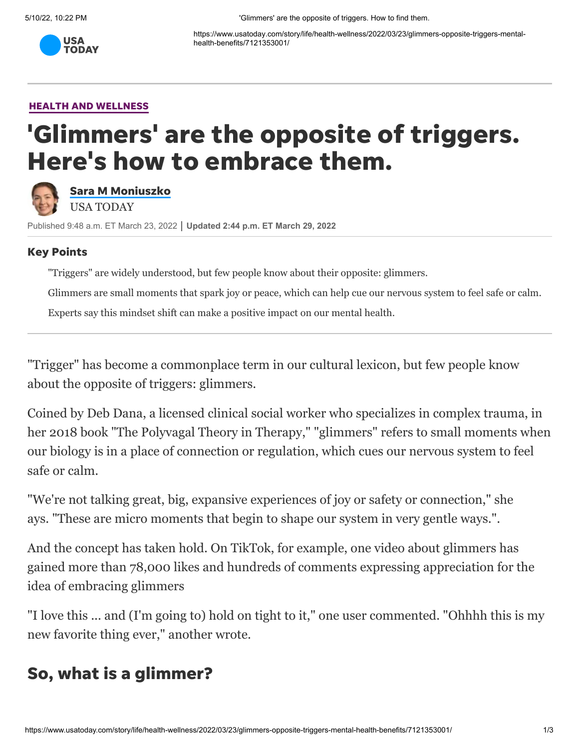

[https://www.usatoday.com/story/life/health-wellness/2022/03/23/glimmers-opposite-triggers-mental](https://www.usatoday.com/story/life/health-wellness/2022/03/23/glimmers-opposite-triggers-mental-health-benefits/7121353001/)health-benefits/7121353001/

#### [HEALTH AND WELLNESS](https://www.usatoday.com/life/health-wellness/)

# 'Glimmers' are the opposite of triggers. Here's how to embrace them.



[Sara M Moniuszko](https://www.usatoday.com/staff/2646376001/sara-m-moniuszko/) USA TODAY

Published 9:48 a.m. ET March 23, 2022 **Updated 2:44 p.m. ET March 29, 2022**

#### Key Points

"Triggers" are widely understood, but few people know about their opposite: glimmers.

Glimmers are small moments that spark joy or peace, which can help cue our nervous system to feel safe or calm.

Experts say this mindset shift can make a positive impact on our mental health.

"Trigger" has become a commonplace term in our cultural lexicon, but few people know about the opposite of triggers: glimmers.

Coined b[y Deb Dana,](https://www.rhythmofregulation.com/about) a licensed clinical social worker who specializes in complex trauma, in her 2018 book ["The Polyvagal Theory in Therapy,"](https://www.amazon.com/Polyvagal-Theory-Therapy-Interpersonal-Neurobiology/dp/0393712370/ref=asc_df_0393712370/?ots=1&slotNum=0&imprToken=a6c058c8-3ad5-9774-6b1&tag=hyprod-20&linkCode=df0&hvadid=312607785736&hvpos=&hvnetw=g&hvrand=12803691669074808358&hvpone=&hvptwo=&hvqmt=&hvdev=c&hvdvcmdl=&hvlocint=&hvlocphy=9008585&hvtargid=pla-422014399858&psc=1&tag=&ref=&adgrpid=61775261186&hvpone=&hvptwo=&hvadid=312607785736&hvpos=&hvnetw=g&hvrand=12803691669074808358&hvqmt=&hvdev=c&hvdvcmdl=&hvlocint=&hvlocphy=9008585&hvtargid=pla-422014399858) "glimmers" refers to small moments when our biology is in a place of connection or regulation, which cues our nervous system to feel safe or calm.

"We're not talking great, big, expansive experiences of joy or safety or connection," she ays. "These are micro moments that begin to shape our system in very gentle ways.".

And the concept has taken hold. [On TikTok, for example, one](https://www.tiktok.com/@heydrjustine/video/7063830906879986991) video about glimmers has gained more than 78,000 likes and hundreds of comments expressing appreciation for the idea of embracing glimmers

"I love this ... and (I'm going to) hold on tight to it," one user commented. "Ohhhh this is my new favorite thing ever," another wrote.

### So, what is a glimmer?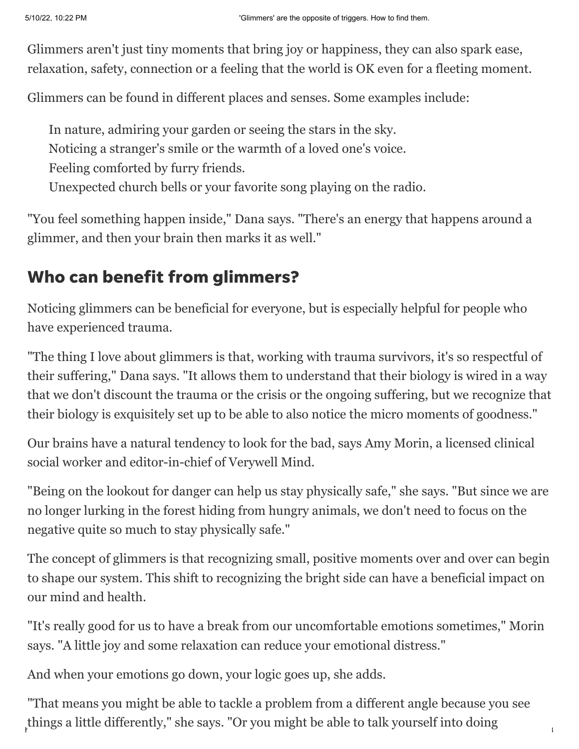Glimmers aren't just tiny moments that bring joy or happiness, they can also spark ease, relaxation, safety, connection or a feeling that the world is OK even for a fleeting moment.

Glimmers can be found in different places and senses. Some examples include:

In nature, admiring your garden or seeing the stars in the sky. Noticing a stranger's smile or the warmth of a loved one's voice. Feeling comforted by furry friends. Unexpected church bells or your favorite song playing on the radio.

"You feel something happen inside," Dana says. "There's an energy that happens around a glimmer, and then your brain then marks it as well."

## Who can benefit from glimmers?

Noticing glimmers can be beneficial for everyone, but is especially helpful for people who have experienced trauma.

"The thing I love about glimmers is that, working with trauma survivors, it's so respectful of their suffering," Dana says. "It allows them to understand that their biology is wired in a way that we don't discount the trauma or the crisis or the ongoing suffering, but we recognize that their biology is exquisitely set up to be able to also notice the micro moments of goodness."

Our brains have a natural tendency to look for the bad, says Amy Morin, a licensed clinical social worker and editor-in-chief of [Verywell Mind](https://www.verywellmind.com/).

"Being on the lookout for danger can help us stay physically safe," she says. "But since we are no longer lurking in the forest hiding from hungry animals, we don't need to focus on the negative quite so much to stay physically safe."

The concept of glimmers is that recognizing small, positive moments over and over can begin to shape our system. This shift to recognizing the bright side can have a beneficial impact on our mind and health.

"It's really good for us to have a break from our uncomfortable emotions sometimes," Morin says. "A little joy and some relaxation can reduce your emotional distress."

And when your emotions go down, your logic goes up, she adds.

things a little differently," she says. "Or you might be able to talk yourself into doing "That means you might be able to tackle a problem from a different angle because you see